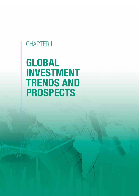# CHAPTER I

# GLOBAL INVESTMENT TRENDS AND PROSPECTS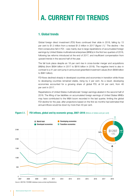# A. CURRENT FDI TRENDS

## 1. Global trends

Global foreign direct investment (FDI) flows continued their slide in 2018, falling by 13 per cent to \$1.3 trillion from a revised \$1.5 trillion in 2017 (figure I.1).<sup>1</sup> The decline – the third consecutive fall in FDI – was mainly due to large repatriations of accumulated foreign earnings by United States multinational enterprises (MNEs) in the first two quarters of 2018, following tax reforms introduced at the end of 2017, and insufficient compensation from upward trends in the second half of the year.

The fall took place despite an 18 per cent rise in cross-border merger and acquisitions (M&As) (from \$694 billion in 2017 to \$816 billion in 2018). The negative trend is also in contrast to a 41 per cent jump in announced greenfield investment values (from \$698 billion to \$981 billion).

FDI flows declined sharply in developed countries and economies in transition while those to developing countries remained stable, rising by 2 per cent. As a result, developing economies accounted for a growing share of global FDI, at 54 per cent, from 46 per cent in 2017.

Repatriations of United States multinationals' foreign earnings abated in the second half of 2018. The lifting of tax liabilities on accumulated foreign earnings of United States MNEs may have contributed to the M&A boom recorded in the last quarter, limiting the global FDI decline for the year, after projections based on the first six months had estimated that annual inflows would be down by more than 40 per cent.

## Figure I.1. FDI inflows, global and by economic group, 2007–2018 (Billions of dollars and per cent)

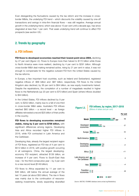Even disregarding the fluctuations caused by the tax reform and the increase in crossborder M&As, the underlying FDI trend – which discounts the volatility caused by one-off transactions and swings in intra-firm financial flows – was still negative. Average annual growth in the underlying trend, which was above 10 per cent until a decade ago, has since stagnated at less than 1 per cent. That weak underlying trend will continue to affect FDI prospects (see section I.B.)

## 2. Trends by geography

## a. FDI inflows

FDI flows to developed economies reached their lowest point since 2004, declining by 27 per cent (figure I.2). Flows to Europe more than halved to \$172 billion while those to North America were more resilient, declining by 4 per cent to \$291 billion. Although cross-border M&A deal making remained active, rising by 21 per cent in value, it was not enough to compensate for the negative outward FDI from the United States caused by the tax reforms.

In Europe, a few important host countries, such as Ireland and Switzerland, registered negative inflows of -\$66 billion and -\$87 billion, respectively. FDI flows to the United Kingdom also declined, by 36 per cent to \$64 billion, as new equity investments halved. Despite the repatriations, the completion of a number of megadeals resulted in higher flows to the Netherlands (up 20 per cent to \$70 billion) and Spain (where inflows doubled to \$44 billion).

In the United States, FDI inflows declined by 9 per cent, to \$252 billion, mainly due to a fall of one third in cross-border M&A sales. Australia's FDI inflows reached  $$60$  billion – a record level – as foreign affiliates reinvested a record \$25 billion of their profits in the country.

FDI flows to developing economies remained stable, rising by 2 per cent to \$706 billion, with significant differences among regions. Developing Asia and Africa recorded higher FDI inflows in 2018, while FDI contracted in Latin America and the Caribbean.

Developing Asia, already the largest recipient region of FDI flows, registered an FDI rise of 4 per cent to \$512 billion in 2018, with positive growth occurring in all subregions. China, the largest developingeconomy FDI recipient, attracted \$139 billion, an increase of 4 per cent. Flows to South-East Asia rose – for the third consecutive year – by 3 per cent to a new record level (\$149 billion).

FDI flows to Africa expanded by 11 per cent to \$46 billion, still below the annual average of the last 10 years (at about \$50 billion). The rise in flows was mainly due to the continuation of resourceseeking investments, slowly expanding diversified *Source:* UNCTAD, FDI/MNE database (www.unctad.org/fdistatistics).

**Figure I.2.** FDI inflows, by region, 2017–2018<br>(Billions of dollars and per cent)

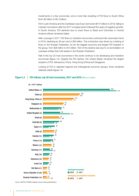investments in a few economies, and a more than doubling of FDI flows to South Africa (from \$2 billion to \$5.3 billion).

FDI in Latin America and the Caribbean was 6 per cent lower (\$147 billion) in 2018, failing to maintain momentum after the 2017 increase (which followed five years of negative growth). In South America, FDI declined due to lower flows to Brazil and Colombia; in Central America inflows remained stable.

After a plunge in 2017, FDI flows to transition economies continued their downward trend in 2018, declining by 28 per cent to \$34 billion. The contraction was driven by a halving of flows to the Russian Federation, by far the biggest economy and largest FDI recipient in the group, from \$26 billion to \$13 billion. Part of the decline was due to re-domiciliation of overseas entities that hold assets in the Russian Federation.

Half of the top 20 host economies in the world continue to be developing and transition economies (figure I.3). Despite the FDI decline, the United States remained the largest recipient of FDI, followed by China, Hong Kong (China) and Singapore.

Looking at FDI to selected regional and interregional economic groups, flows remained relatively stable (figure I.4).

## Figure I.3. FDI inflows, top 20 host economies, 2017 and 2018 (Billions of dollars)



*Source*: UNCTAD, FDI/MNE database (www.unctad.org/fdistatistics).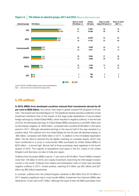

## Figure I.4. FDI inflows to selected groups, 2017 and 2018 (Billions of dollars and per cent)

b. FDI outflows

In 2018, MNEs from developed countries reduced their investments abroad by 40 **per cent to \$558 billion.** As a result, their share in global outward FDI dropped to 55 per cent – the lowest ever recorded (figure I.5). The significant decline was less a reflection of real investment intentions than of the impact of the large-scale repatriations of accumulated foreign earnings by United States MNEs, which resulted in negative outflows. In the first half of 2018, the reinvested earnings of United States MNEs slumped by a net \$367 billion and turned sharply negative, at -\$200 billion, compared with a positive \$168 billion in the same period in 2017. Although reinvested earnings in the second half of the year reverted to a positive value, FDI outflows from the United States for the full year still declined sharply, to -\$64 billion, compared with \$300 billion in 2017. In addition to the immediate repatriation effect, the tax reforms resolved the tax liability overhang on overseas assets, which may have contributed to a jump in cross-border M&A purchases by United States MNEs to \$253 billion – a record high. Almost half of those purchases were registered in the fourth quarter of 2018. The majority of acquisitions took place in the EU, mainly in the United Kingdom and Germany, but also in India and Japan.

Outflows from European MNEs rose by 11 per cent to \$418 billion. French MNEs invested more than 100 billion in 2018, all in equity investment, becoming the third largest investor country in the world. Outflows from Ireland and Switzerland, both of which had recorded negative outflows in 2017, turned positive, reaching \$13 billion (up \$52 billion) and \$27 billion (up \$62 billion) respectively.

In contrast, outflows from the United Kingdom declined to \$50 billion from \$118 billion in 2017 despite a significant rise in cross-border M&As. Investment from German MNEs also declined by 16 per cent to \$77 billion. Although the value of their net M&A purchases more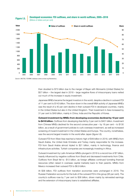

Figure I.5. Developed economies: FDI outflows, and share in world outflows, 2005–2018



(Billions of dollars and per cent)

*Source*: UNCTAD, FDI/MNE database (www.unctad.org/fdistatistics).

than doubled to \$73 billion due to the merger of Bayer with Monsanto (United States) for \$57 billion – the largest deal in 2018 – large negative flows of intracompany loans netted out much of the increase in equity investment.

Japanese MNEs became the largest investors in the world, despite a decline in outward FDI of 11 per cent to \$143 billion. The slow-down in the overall M&A activity of Japanese MNEs was the result of a 40 per cent decline in their outward FDI in developed countries, mainly in the United States but also in the United Kingdom. Their investment in Asia increased by 31 per cent to \$49 billion, mainly in China, India and the Republic of Korea.

Outward investment by MNEs from developing economies declined by 10 per cent to \$418 billion. Outflows from developing Asia fell by 3 per cent to \$401 billion. Investment from Chinese MNEs declined for the second consecutive year – by 18 per cent – to \$130 billion, as a result of government policies to curb overseas investment, as well as increased screening of inward investment in the United States and Europe. The country, nonetheless, was the second largest investor in the world after Japan (figure I.6).

Outward FDI from West Asia reached a historic high of \$49 billion in 2018, with MNEs from Saudi Arabia, the United Arab Emirates and Turkey mainly responsible for the increase. FDI from Saudi Arabia almost tripled to \$21 billion, mainly in technology, finance and infrastructure activities. Turkish companies are increasingly investing in Africa.

Outward investment by Latin American MNEs plunged in 2018 to a record low of \$7 billion, heavily influenced by negative outflows from Brazil and decreased investments from Chile. Outflows from Brazil fell to -\$13 billion, as foreign affiliates continued funneling financial resources (often raised in overseas capital markets) back to their parents. MNEs from Mexico increased their outward FDI to \$6.9 billion.

At \$38 billion, FDI outflows from transition economies were unchanged in 2018. The Russian Federation accounts for the bulk of the outward FDI in this group (95 per cent). The country's outflows rose by 7 per cent to \$36 billion, driven mainly by reinvested earnings and the extension of intracompany loans to established affiliates.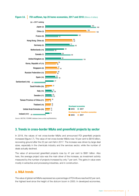

## 3. Trends in cross-border M&As and greenfield projects by sector

In 2018, the values of net cross-border M&As and announced FDI greenfield projects increased (figure I.7). The value of net cross-border M&As rose 18 per cent to \$816 billion, recovering ground after the 22 per cent fall in 2017. The increase was driven by large deal sizes, especially in the chemicals industry and the services sector, while the number of deals actually declined.

The value of announced greenfield projects rose by 41 per cent to \$981 billion. Also here, the average project size was the main driver of the increase, as investment activity measured by the number of projects increased by only 7 per cent. The gains in value were mostly in extractive and processing industries, and in construction.

## a. M&A trends

The value of global net M&As expressed as a percentage of FDI inflows reached 62 per cent, the highest level since the height of the dotcom boom in 2000. In developed economies,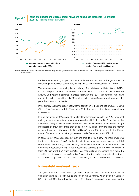## Value and number of net cross-border M&As and announced greenfield FDI projects,



*Source*: UNCTAD, cross-border M&A database (www.unctad.org/fdistatistics) and information from the Financial Times Ltd, fDi Markets [\(www.fDimarkets.com\)](http://www.fDimarkets.com) for announced greenfield projects.

net M&A sales rose by 21 per cent to \$689 billion, 84 per cent of the global total. In developing and transition economies, net M&A sales remained steady at \$127 billion.

The increase was driven mainly by a doubling of acquisitions by United States MNEs, with the jump concentrated in the second half of 2018. The removal of tax liabilities on accumulated retained earnings overseas following the 2017 tax reforms may have contributed to the boom. Domestic M&A activity in the United States grew at an even faster pace than cross-border M&As.

In the primary sector, the largest deal was the acquisition of the oil and gas producer Maersk Olie og Gas (Denmark) by Total (France) for \$7.4 billion as part of continued restructuring in the sector.

In manufacturing, net M&A sales at the global level remained close to the 2017 level. Deal making in the pharmaceutical industry, which reached \$113 billion in 2015, declined for the third successive year to \$28 billion. The chemical industry made up for the decline through megadeals, as M&A sales more than doubled to \$149 billion. They included the merger of Bayer (Germany) with Monsanto (United States), worth \$57 billion, and that of Praxair (United States) with the industrial gases group Linde (Germany), worth \$32 billion.

In services, net M&A sales rose by over one third to \$469 billion. The main driver was the increase in value of M&As in the financial industry, which almost doubled to \$108 billion. Within this industry, M&As involving real estate investment trusts were particularly numerous. Separately, net M&A sales in real estate activities (part of business activities in table I.1) were worth \$57 billion in 2018. Real estate-related investments thus formed a sizeable part of cross-border M&As in 2018. Almost all the deals in real estate investment trusts and three quarters of the deals in real estate targeted assets in developed economies.

## b. Greenfield investment trends

The global total value of announced greenfield projects in the primary sector doubled to \$41 billion (table I.2), mostly due to projects in metals mining, which trebled in value to \$20 billion in 2018, the highest level since 2011. Karo Resources (Cyprus) announced a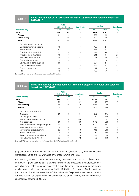### Table I.1. Value and number of net cross-border M&As, by sector and selected industries, 2017–2018

|                                     |      | <b>Value</b><br>(Billions of dollars) | <b>Growth rate</b> | <b>Number</b> |       | <b>Growth rate</b> |
|-------------------------------------|------|---------------------------------------|--------------------|---------------|-------|--------------------|
| <b>Sector/industry</b>              | 2017 | 2018                                  | (% )               | 2017          | 2018  | (%)                |
| <b>Total</b>                        | 694  | 816                                   | 18                 | 6967          | 6821  | $-2$               |
| Primary                             | 24   | 39                                    | 60                 | 550           | 406   | $-26$              |
| <b>Manufacturing</b>                | 327  | 307                                   | -6                 | 1690          | 1 600 | $-5$               |
| <b>Services</b>                     | 343  | 469                                   | 37                 | 4 7 2 7       | 4815  | $\overline{c}$     |
| Top 10 industries in value terms:   |      |                                       |                    |               |       |                    |
| Chemicals and chemical products     | 65   | 149                                   | 129                | 198           | 211   |                    |
| <b>Business activities</b>          | 107  | 112                                   | 5                  | 1817          | 1848  | $\overline{2}$     |
| Financial and insurance activities  | 59   | 108                                   | 84                 | 617           | 599   | $-3$               |
| Information and communication       | 39   | 90                                    | 131                | 611           | 612   | 0.2                |
| Food, beverages and tobacco         | 88   | 55                                    | $-37$              | 227           | 205   | $-10$              |
| Transportation and storage          | 23   | 47                                    | 109                | 306           | 269   | $-12$              |
| Electrical and electronic equipment | 26   | 42                                    | 65                 | 307           | 257   | $-16$              |
| Mining, quarrying and petroleum     | 23   | 38                                    | 70                 | 466           | 329   | $-29$              |
| Electricity, gas and water          | 54   | 38                                    | $-30$              | 171           | 191   | 12                 |
| Trade                               | 12   | 35                                    | 188                | 486           | 501   | 3                  |

*Source*: UNCTAD, cross-border M&A database (www.unctad.org/fdistatistics).

## Table I.2. Value and number of announced FDI greenfield projects, by sector and selected industries, 2017–2018

|                                              |      | <b>Value</b>          |                    | <b>Number</b> |         |                    |
|----------------------------------------------|------|-----------------------|--------------------|---------------|---------|--------------------|
|                                              |      | (Billions of dollars) | <b>Growth rate</b> |               |         | <b>Growth rate</b> |
| <b>Sector/industry</b>                       | 2017 | 2018                  | (%)                | 2017          | 2018    | (%)                |
| <b>Total</b>                                 | 698  | 981                   | 41                 | 16 350        | 17567   | $\overline{7}$     |
| Primary                                      | 21   | 41                    | 101                | 83            | 122     | 47                 |
| <b>Manufacturing</b>                         | 345  | 466                   | 35                 | 7855          | 8049    | $\overline{2}$     |
| <b>Services</b>                              | 332  | 473                   | 43                 | 8412          | 9 3 9 6 | 12                 |
| Top 10 industries in value terms:            |      |                       |                    |               |         |                    |
| Construction                                 | 61   | 113                   | 84                 | 279           | 475     | 70                 |
| Electricity, gas and water                   | 90   | 111                   | 23                 | 302           | 429     | 42                 |
| Coke and refined petroleum products          | 15   | 86                    | 480                | 75            | 87      | 16                 |
| <b>Business services</b>                     | 61   | 78                    | 28                 | 4419          | 4686    | 6                  |
| Motor vehicles and other transport equipment | 61   | 74                    | 20                 | 1 1 2 3       | 1 1 3 1 |                    |
| Chemicals and chemical products              | 54   | 66                    | 21                 | 588           | 569     | -3                 |
| Electrical and electronic equipment          | 60   | 58                    | $-3$               | 996           | 1046    | 5                  |
| Hotels and restaurants                       | 17   | 49                    | 189                | 163           | 422     | 159                |
| Transport, storage and communications        | 39   | 48                    | 24                 | 936           | 1018    | 9                  |
| Mining, quarrying and petroleum              | 20   | 41                    | 102                | 79            | 118     | 49                 |

*Source*: UNCTAD, based on information from the Financial Times Ltd, fDi Markets (www.fDimarkets.com).

project worth \$4.3 billion in a platinum mine in Zimbabwe, supported by the Africa Finance Corporation. Large projects were also announced in Chile and Peru.

Announced greenfield projects in manufacturing increased by 35 per cent to \$466 billion. In line with higher investments in extractive industries, the processing of natural resources was a big driver of the increased investment in manufacturing. Projects in coke, petroleum products and nuclear fuel increased six-fold to \$86 billlion. A project by Shell Canada, a joint venture of Shell, Petronas, PetroChina, Mitsubishi Corp. and Korea Gas, to build a liquefied natural gas export facility in Canada was the largest project, with planned capital expenditures totalling \$30 billion.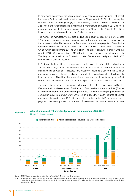In developing economies, the value of announced projects in manufacturing – of critical importance for industrial development – rose by 68 per cent to \$271 billion, halting the downward trend of recent years (figure I.8). However, projects remained concentrated in Asia, where announced greenfield investments in manufacturing doubled to \$212 billion. In a positive sign, manufacturing investments also jumped 60 per cent in Africa, to \$33 billion. However, those in Latin America and the Caribbean declined.

The number of manufacturing projects in developing countries rose by a more modest 12 per cent, suggesting that announcements of relatively few large-scale projects explain the increase in value. For instance, the five largest manufacturing projects in China had a combined value of \$33 billion, accounting for much of the value of announced projects in China, which doubled from 2017 to \$80 billion. The largest announced project was the plan by BASF (Germany) to invest \$10 billion in a new chemical manufacturing base in Zhanjiang. In the same industry, ExxonMobil (United States) announced plans to build a \$7 billion ethylene plant in Zhoushan.

In East Asia, the largest increases in greenfield projects were in higher-skilled industries. In addition to the mega projects in the chemicals industry, a series of projects in automotive manufacturing as well as in electrical and electronic equipment boosted the value of announced projects in China. In East Asia as a whole, the value of projects in the chemicals industry trebled to \$24 billion, that in electrical and electronic equipment rose by half to \$25 billion, and that in motor vehicles and other transport equipment also trebled to \$25 billion.

The processing of natural resources was a key part of the upturn in West Asia and South-East Asia and, to a lesser extent, South Asia. In Saudi Arabia, for example, Total (France) signed a memorandum of understanding with Saudi Aramco to develop a petrochemical complex in Jubail in a project worth \$9 billion. In India, CPC (Taiwan Province of China) announced its plan to invest \$6.6 billion in a petrochemical project in Paradip. As a result, projects in this industry almost quadrupled to \$25 billion in West Asia, those in South Asia

## Figure I.8. Value of announced FDI greenfield projects in manufacturing, 2005–2018 (Billions of dollars and per cent)



*Source*: UNCTAD, based on information from the Financial Times Ltd, fDi Markets [\(www.fDimarkets.com](http://www.fDimarkets.com)).

*Note*: Natural resources-related industries include (i) coke, petroleum products and nuclear fuel; (ii) metals and metal products; (iii) non-metallic mineral products; and (iv) wood and wood products. Lower-skill industries include (i) food, beverages and tobacco and (ii) textiles, clothing and leather; higher-skill industries include all other manufacturing industries.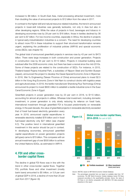increased to \$8 billion. In South-East Asia, metal processing attracted investment, more than doubling the value of announced projects to \$12 billion from the value in 2017.

In contrast to the higher-skill and natural resource-related industries, the trend in announced projects in lower-skill industries was generally lacklustre, not only in Asia but also in other developing regions. While the value of projects in food, beverages and tobacco in developing economies rose by 29 per cent to \$16 billion, those in textiles declined by 36 per cent to \$7 billion. For low-income countries, especially in Africa, the decline in projects in typical early-industrialization industries is a concern. The need for developing countries to attract more FDI in these industries to support their structural transformation remains urgent, explaining the proliferation of industrial policies (*WIR18*) and special economic zones (SEZs; see chapter IV).

The global total of announced greenfield projects in services rose by 43 per cent to \$473 billion. There were large increases in both construction and power generation. Projects in construction rose by 84 per cent to \$113 billion. Projects in industrial building were subdued after the 2008 economic crisis, but there has been a revival since the mid-2010s. Some of these projects are related to the construction of SEZs. For instance, in 2015, Thailand-based Rojana Industrial Park, a subsidiary of Nippon Steel and Sumikin Bussan (Japan), announced the project to develop the Dawei Special Economic Zone in Myanmar. In 2016, Wei Yu Engineering (Taiwan Province of China) announced plans to invest \$2.5 billion in the Vung Ang Economic Zone in Viet Nam to construct docks with logistics areas and agricultural areas. In 2018, the textile manufacturer Shandong Ruyi Technology (China) announced its project to invest \$830 million to establish a textile industrial zone in the Suez Canal Economic Zone in Egypt.

Greenfield projects in power generation rose by 23 per cent in 2018, to \$110 billion, accounting for almost all projects in utilities. Whereas total investment, including domestic investment, in power generation is only slowly reducing its reliance on fossil fuels, international investment through greenfield FDI is focused predominantly on renewable energy. In the past decade, the value of greenfield projects in renewable electricity exceeded

that of fossil fuel-based electricity generation every year. In 2018, announced capital expenditures in renewable electricity totalled \$78 billion and in fossil fuel-based electricity only \$27 billion (see chapter II.C). The positive trend in international greenfield investment in this sector should be put in context. In developing economies, announced greenfield capital expenditures on power generation projects (all types) came to \$70 billion. This compares with an annual investment gap of over \$500 billion to achieve the United Nations SDGs, as estimated in *WIR14*.

## 4. FDI and other crossborder capital flows

The decline in global FDI flows was in line with the trend in other cross-border capital flows. Together FDI, portfolio flows and other investment (mostly bank loans) amounted to \$5 trillion, or 5.9 per cent of global GDP in 2018, a decline of more than 20 per cent from 2017 (figure I.9).



*Source*: UNCTAD, based on IMF World Economic Outlook Database.

*Note*: The percentages presented here are based on available data from 187 economies. The IMF World Economic Outlook database tracks FDI flows measured according to the asset/liability principle. Hence, the value of FDI flows is not directly comparable with UNCTAD's FDI data presented elsewhere in this report.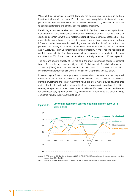While all three categories of capital flows fell, the decline was the largest in portfolio investment (down 40 per cent). Portfolio flows are closely linked to financial market performance, as well as interest rate and currency movements. They are also more sensitive to geopolitical tensions and country-specific political uncertainty.

Developing economies received just over one third of global cross-border capital flows. Compared with flows to developed economies, which declined by 27 per cent, flows to developing economies were more resilient, declining by only 8 per cent, because FDI – the more stable type of finance – represents a larger share of their capital inflows. Portfolio inflows and other investment in developing economies declined by 30 per cent and 14 per cent, respectively. Declines in portfolio flows were particularly large in Latin America and in West Asia. Policy uncertainty and currency instability in major regional recipients of portfolio flows, including Argentina, Mexico and Turkey, contributed to the declines. In those countries, too, FDI inflows proved more stable and actually increased in 2018 (chapter II).

The size and relative stability of FDI makes it the most importance source of external finance for developing economies (figure I.10). Preliminary data for official development assistance (ODA) (bilateral and multilateral) show an increase of 1.5 per cent to \$149 billion. Preliminary data for remittances show an increase of 9.6 per cent to \$529 billion.

However, capital flows to developing economies remain concentrated in a relatively small number of countries. Asia receives three quarters of capital flows to developing economies. Portfolio investment and other investment flows are even more skewed towards that region. The least developed countries (LDCs), with a combined population of 1 billion, receive just 3 per cent of those cross-border capital flows. For these countries, remittances remain substantially higher than FDI. They increased by 11 per cent to \$40 billion in 2018, compared with FDI inflows worth \$24 billion.



## Developing economies: sources of external finance, 2009-2018

*Source*: UNCTAD, based on KNOMAD (for remittances), UNCTAD (for FDI), IMF World Economic Dataset (for portfolio investment and other investment) and OECD (for ODA).

*Note*: Remittances and ODA are approximated by flows to low- and middle-income countries, as grouped by the World Bank.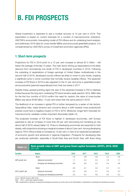# B. FDI PROSPECTS

Global investment is expected to see a modest recovery of 10 per cent in 2019. This expectation is based on current forecasts for a number of macroeconomic indicators, UNCTAD's econometric forecasting model of FDI inflows and its underlying trend analysis, and preliminary 2019 data for cross-border M&As and announced greenfield projects. It is complemented by UNCTAD's survey of investment promotion agencies (IPAs).

## 1. Short-term prospects

Projections for FDI in 2019 point to a 10 per cent increase to almost \$1.5 trillion – still below the average of the last 10 years. The main factor driving up expectations is the likely rebound from anomalously low levels of FDI in developed countries in 2018. Following the subsiding of repatriations of foreign earnings of United States multinationals in the second half of 2018, developed-country inflows are likely to revert to prior levels, implying a significant jump in some countries that normally receive sizeable inflows. The expected increase of FDI flows in 2019 is also apparent in the 41 per cent jump in greenfield project announcements (planned expenditures) from their low levels in 2017.

Despite these upward-pointing signs the size of the expected increase in FDI is relatively limited because the long-term underlying FDI trend remains weak (section I.B.2). M&A data for the first four months of 2019 confirm the need for caution; the value of cross-border M&As was about \$180 billion, 10 per cent lower than the same period in 2018.

The likelihood of an increase in global FDI is further tempered by a series of risk factors. Geopolitical risks, trade tensions and concerns about a shift towards more protectionist policies could have a negative impact on FDI in 2019. Moreover, longer-term forecasts for macroeconomic variables contain important downsides (table I.3).

The projected increase of FDI flows is highest in developed economies, with Europe expected to see an increase of more than 60 per cent (recovering but remaining at only about half of 2016 values) (table I.4). Flows to developing economies are expected to hold steady, with projections showing a marginal increase of about 5 per cent. Among developing regions, FDI in Africa is likely to increase by 15 per cent, in view of an expected acceleration of economic growth and advances in regional integration. Prospects for developing Asia are cautiously optimistic, especially in South-East Asia and South Asia, with flows rising

| Table I.3.       | Real growth rates of GDP and gross fixed capital formation (GFCF), 2016–2020<br>(Per cent) |      |      |      |      |      |  |  |  |  |
|------------------|--------------------------------------------------------------------------------------------|------|------|------|------|------|--|--|--|--|
| <b>Variable</b>  | <b>Region</b>                                                                              | 2016 | 2017 | 2018 | 2019 | 2020 |  |  |  |  |
|                  | World                                                                                      | 3.4  | 3.8  | 3.6  | 3.3  | 3.6  |  |  |  |  |
| GDP growth rate  | Advanced economies <sup>a</sup>                                                            | 1.7  | 2.4  | 2.2  | 1.8  | 1.7  |  |  |  |  |
|                  | Emerging and developing economies <sup>a</sup>                                             | 4.6  | 4.8  | 4.5  | 4.4  | 4.8  |  |  |  |  |
|                  | World                                                                                      | 2.8  | 4.1  | 4.0  | 3.7  | 4.1  |  |  |  |  |
| GFCF growth rate | Advanced economies <sup>a</sup>                                                            | 2.0  | 3.8  | 3.1  | 2.5  | 2.4  |  |  |  |  |
|                  | Emerging and developing economies <sup>a</sup>                                             | 3.3  | 4.3  | 4.6  | 4.5  | 5.3  |  |  |  |  |

*Source*:UNCTAD, based on IMF (2019).

*Note*: GFCF = gross fixed capital formation.

<sup>a</sup> IMF's classifications of advanced, emerging and developing economies are not the same as the United Nations' classifications of developed and developing economies.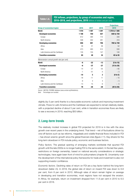## Table  $1.4.$  FDI inflows, projections, by group of economies and region, 2016–2018, and projections, 2019 (Billions of dollars and per cent)

|                                           |         |                |              | <b>Projections</b> |
|-------------------------------------------|---------|----------------|--------------|--------------------|
| <b>Group of economies/region</b>          | 2016    | 2017           | 2018         | 2019               |
| World                                     | 1919    | 1497           | 1 297        | 1 370 to 1 500     |
| <b>Developed economies</b>                | 1 1 9 8 | 759            | 557          | 640 to 720         |
| Europe                                    | 612     | 384            | 172          | 330                |
| North America                             | 508     | 302            | 291          | 310                |
| <b>Developing economies</b>               | 656     | 691            | 706          | 700 to 740         |
| Africa                                    | 46      | 41             | 46           | 52                 |
| Asia                                      | 473     | 493            | 512          | 530                |
| Latin America and the Caribbean           | 135     | 155            | 147          | 140                |
| <b>Transition economies</b>               | 65      | 48             | 34           | 45 to 55           |
| Memorandum: annual growth rate (per cent) |         |                |              |                    |
| <b>World</b>                              | -6      | $-22$          | $-13$        | (5 to 15)          |
| <b>Developed economies</b>                | -6      | $-37$          | $-27$        | (15 to 30)         |
| Europe                                    | $-14$   | $-37$          | $-55$        | $~1$ 65            |
| North America                             | $-1$    | $-41$          | $-4$         | $~1$ 5             |
| <b>Developing economies</b>               | $-10$   | 5              | $\mathbf{2}$ | (0 to 5)           |
| Africa                                    | $-18$   | $-11$          | 11           | $~\sim 15$         |
| Asia                                      | -8      | $\overline{4}$ | 4            | $~1$ 5             |
| Latin America and the Caribbean           | $-13$   | 15             | -6           | $\sim -5$          |
| <b>Transition economies</b>               | 78      | -26            | $-28$        | (40 to 50)         |

*Source*: UNCTAD, FDI/MNE database (www.unctad.org/fdistatistics).

*Note*: Percentages are rounded.

slightly (by 5 per cent) thanks to a favourable economic outlook and improving investment climate. Flows to Latin America and the Caribbean are expected to remain relatively stable, with a projected decline of about 5 per cent, while in transition economies flows are likely to see a recovery in 2019, reaching \$50 billion.

## 2. Long-term trends

The relatively modest increase in global FDI projected for 2019 is in line with the slow growth over recent years in the underlying trend. That trend – net of fluctuations driven by one-off factors such as tax reforms, megadeals and volatile financial flows included in FDI – has shown anemic growth since the global financial crisis (figure I.11). Key drivers for the long-term slowdown in FDI include policy, economic and business factors.

*Policy factors.* The gradual opening of emerging markets worldwide that spurred FDI growth until the late 2000s is no longer fueling FDI to the same extent. In the last few years, restrictions on foreign ownership, based on national security considerations or strategic technologies, have again been front of mind for policymakers (chapter III). Uncertainty over the development of the international policy frameworks for trade and investment is also not supporting investor confidence.

*Economic factors.* Declining rates of return on FDI are a key factor behind the long-term slowdown (table I.5). In 2018, the global rate of return on inward FDI was down to 6.8 per cent, from 8 per cent in 2010. Although rates of return remain higher on average in developing and transition economies, most regions have not escaped the erosion. In Africa, for example, return on investment dropped from 11.9 per cent in 2010 to 6.5 per cent in 2018.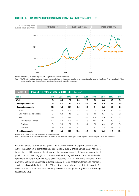## Figure I.11. FDI inflows and the underlying trend, 1990–2018 (Indexed, 2010 = 100)



*Source*: UNCTAD, FDI/MNE database (www.unctad.org/fdistatistics); UNCTAD estimates.

*Note*: The FDI underlying trend is a composite index (incorporating balance of payments and other variables), constructed by removing the effect on FDI of fluctuations in M&As, intracompany loans and offshore financial flows through appropriate smoothing techniques.

| Table I.5.                  | Inward FDI rates of return, 2010-2018 (Per cent) |      |      |      |      |      |      |      |      |      |
|-----------------------------|--------------------------------------------------|------|------|------|------|------|------|------|------|------|
| <b>Region</b>               |                                                  | 2010 | 2011 | 2012 | 2013 | 2014 | 2015 | 2016 | 2017 | 2018 |
| World                       |                                                  | 8.0  | 8.5  | 7.7  | 7.5  | 7.6  | 6.9  | 6.8  | 6.8  | 6.8  |
| <b>Developed economies</b>  |                                                  | 6.4  | 6.7  | 6.1  | 5.9  | 6.4  | 6.0  | 5.9  | 5.9  | 6.0  |
| <b>Developing economies</b> |                                                  | 11.0 | 11.5 | 10.1 | 9.9  | 9.5  | 8.4  | 8.2  | 8.1  | 7.8  |
| Africa                      |                                                  | 11.9 | 12.0 | 11.7 | 11.4 | 9.6  | 6.5  | 5.0  | 6.0  | 6.5  |
|                             | Latin America and the Caribbean                  | 9.7  | 9.8  | 8.5  | 7.0  | 6.3  | 4.5  | 5.4  | 6.2  | 6.2  |
| Asia                        |                                                  | 11.4 | 12.2 | 10.6 | 10.8 | 10.7 | 10.0 | 9.6  | 9.0  | 8.5  |
|                             | East and South-East Asia                         | 12.5 | 13.4 | 11.6 | 11.9 | 11.8 | 11.1 | 10.4 | 9.9  | 9.4  |
| South Asia                  |                                                  | 8.9  | 7.6  | 7.2  | 6.7  | 6.1  | 5.5  | 6.4  | 5.6  | 5.3  |
| West Asia                   |                                                  | 6.0  | 6.8  | 5.6  | 5.5  | 5.0  | 4.7  | 4.8  | 3.5  | 3.4  |
| <b>Transition economies</b> |                                                  | 12.1 | 14.8 | 14.6 | 13.2 | 13.2 | 9.0  | 10.2 | 11.6 | 12.4 |

*Source*: UNCTAD based on data from IMF Balance of Payments database.

*Note*: Annual rates of return are measured as annual FDI income for year t divided by the average of the end-of-year FDI positions for years t and t - 1 at book values.

*Business factors.* Structural changes in the nature of international production are also at work. The adoption of digital technologies in global supply chains across many industries is causing a shift towards intangibles and increasingly asset-light forms of international production, as reaching global markets and exploiting efficiencies from cross-border operations no longer requires heavy asset footprints (*WIR17*). The trend is visible in the divergence of key international production indicators – on a scale from tangible to intangible – with a substantially flat trend for FDI and trade in goods and much faster growth for both trade in services and international payments for intangibles (royalties and licensing fees) (figure I.12).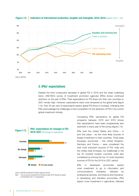



## 3. IPAs' expectations

Despite the third consecutive decrease in global FDI in 2018 and the weak underlying trend, UNCTAD's survey of investment promotion agencies (IPAs) shows continued optimism on the part of IPAs. Their expectations for FDI flows into their own countries to 2021 remain high. However, expectations were more tempered at the global level (figure I.13). Only 45 per cent of respondents expect global FDI flows to increase, indicating that IPAs acknowledge the challenges of and competition for the attraction of FDI in the current global investment climate.



*Source*: UNCTAD Investment Promotion Agencies Survey.

*Note*: The survey was conducted from February to April 2019. Results are based on information from 114 respondents.

Comparing IPAs' perceptions for global FDI prospects between 2016 and 2019 shows that expectations have been progressively less optimistic in every year of the survey (figure I.14).

IPAs rank the United States and China – in joint first place – as the most likely sources of foreign investment to their countries. Three large European economies – the United Kingdom, Germany and France – were considered the next most important sources of FDI. India and the United Arab Emirates, not traditionally in the top 20 outward investor countries, were also considered as among the top 10 most important sources of FDI for the 2019 to 2021 period.

IPAs in developed economies expect most investment to go to information and communications industries, followed by professional services, and finance and insurance. In developing and transition economies, IPAs expect more investment in agriculture, followed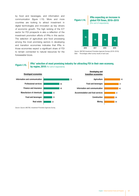by food and beverages, and information and communication (figure I.15). More and more countries are looking to attract investment in digital technologies and innovation as key drivers of economic growth. The high ranking of the ICT sector for FDI prospects is also a reflection of the investment promotion efforts of IPAs in this sector. The selection of agriculture and food processing among the most promising sectors in developing and transition economies indicates that IPAs in those economies expect a significant share of FDI to remain connected to natural resources for the foreseeable future.

## Figure I.14. IPAs expecting an increase in global FDI flows, 2016–2019 (Per cent of respondents) 2016 2017 2018 2019 61 56 45 75

*Source*: UNCTAD Investment Promotion Agencies Surveys (2016–2019). *Note*: Percentages reflect survey results of each year.

## Figure I.15. **IPAs' selection of most promising industry for attracting FDI in their own economy,**<br>**Figure I.15.** by region, 2018 (Per cent of respondents)



*Source*: *Source*: UNCTAD, Investment Promotion Agencies Survey.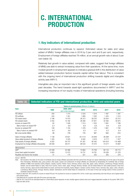# C. INTERNATIONAL PRODUCTION

## 1. Key indicators of international production

International production continues to expand. Estimated values for sales and value added of MNEs' foreign affiliates rose in 2018 by 3 per cent and 8 per cent, respectively. Employment of foreign affiliates reached 76 million, at an annual growth rate of about 3 per cent (table I.6).

Relatively fast growth in value added, compared with sales, suggest that foreign affiliates of MNEs are able to extract increasing value from their operations. At the same time, more modest growth in employment appears to indicate a gradual shift in the distribution of value added between production factors towards capital rather than labour. This is consistent with the ongoing trend of international production shifting towards digital and intangible activity (see *WIR17*).

Intangibles also play an important role in the significant growth of foreign assets over the past decades. The trend towards asset-light operations documented in *WIR17* and the increasing importance of non-equity modes of international operations (including licensing

## Table I.6. Selected indicators of FDI and international production, 2018 and selected years

|                                              | <b>Value at current prices (Billions of dollars)</b> |                                   |         |        |                      |                      |  |
|----------------------------------------------|------------------------------------------------------|-----------------------------------|---------|--------|----------------------|----------------------|--|
| <b>Item</b>                                  | 1990                                                 | 2005-2007<br>(pre-crisis average) | 2015    | 2016   | 2017                 | 2018                 |  |
| FDI inflows                                  | 205                                                  | 1414                              | 2 0 3 4 | 1919   | 1 4 9 7              | 1 2 9 7              |  |
| FDI outflows                                 | 244                                                  | 1451                              | 1683    | 550    | 1425                 | 1014                 |  |
| FDI inward stock                             | 2 1 9 6                                              | 14 4 7 5                          | 26 313  | 28 243 | 32 624               | 32 27 2              |  |
| FDI outward stock                            | 2 2 5 5                                              | 15 182                            | 26 260  | 27 621 | 32 383               | 30 975               |  |
| Income on inward FDI <sup>a</sup>            | 82                                                   | 1 0 2 8                           | 1513    | 553    | 1691                 | 1799                 |  |
| <b>Rate of return on inward FDP</b>          | 5.3                                                  | 8.6                               | 6.9     | 6.8    | 6.8                  | 6.8                  |  |
| Income on outward FDI <sup>a</sup>           | 128                                                  | 1 1 0 2                           | 476     | 478    | 1661                 | 1792                 |  |
| Rate of return on outward FDI <sup>b</sup>   | 8.0                                                  | 9.6                               | 6.3     | 6.1    | 6.3                  | 6.4                  |  |
| Net cross-border M&As                        | 98                                                   | 729                               | 735     | 887    | 694                  | 816                  |  |
| Sales of foreign affiliates                  | 7 1 3 6                                              | 24 6 21                           | 26 019  | 25 649 | $26,580^\circ$       | $27.247$ °           |  |
| Value added (product) of foreign affiliates  | 1335                                                 | 5 3 2 5                           | 6 0 0 2 | 5919   | $6711^{\circ}$       | 7257c                |  |
| Total assets of foreign affiliates           | 6 20 2                                               | 50747                             | 91 261  | 95 540 | 104 915 <sup>c</sup> | 110 468 <sup>c</sup> |  |
| Employment by foreign affiliates (thousands) | 28 558                                               | 59 011                            | 69 533  | 70 470 | 73 571 <sup>c</sup>  | 75 897 <sup>c</sup>  |  |
| Memorandum                                   |                                                      |                                   |         |        |                      |                      |  |
| GDP <sup>d</sup>                             | 23 4 39                                              | 52 366                            | 74 664  | 75 709 | 80 118               | 84 713               |  |
| Gross fixed capital formation <sup>d</sup>   | 5 8 20                                               | 12 472                            | 18731   | 18781  | 20 039               | 21 378               |  |
| Royalties and licence fee receipts           | 31                                                   | 174                               | 321     | 325    | 355                  | 370                  |  |

*Source*:UNCTAD.

Note: Not included in this table are the value of worldwide sales by foreign affiliates associated with their parent firms through non-equity relationships and of the sales of the parent firms themselves. Worldwide sales, gross product, total assets, exports and employment of foreign affiliates are estimated by extrapolating the worldwide data of foreign affiliates of MNEs from Australia, Austria, Belgium, Canada, Czechia, Finland, France, Germany, Greece, Israel, Italy, Japan, Latvia, Lithuania, Luxembourg, Portugal, Slovenia, Sweden, and the United States for sales; those from Czechia, France, Israel, Japan, Portugal, Slovenia, Sweden, and the United States for value-added (product); those from Austria, Germany, Japan and the United States for assets; and those from Australia, Austria, Belgium, Canada, Czechia, Finland, France, Germany, Italy, Japan, Latvia, Lithuania, Luxembourg, Macao (China), Portugal, Slovenia, Sweden, Switzerland, and the United States for employment, on the basis of three-year average shares of those countries in worldwide outward FDI stock.

<sup>a</sup> Based on data from 165 countries for income on inward FDI and 144 countries for income on outward FDI in 2018, in both cases representing more than 90 per cent of global inward and outward stocks.

**b** Calculated only for countries with both FDI income and stock data.

 $\,^{\circ}$  Data for 2017 and 2018 are estimated based on a fixed-effects panel regression of each variable against outward stock and a lagged dependent variable for the period 1980–2016. <sup>d</sup> Data from IMF (2019).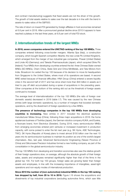and contract manufacturing) suggests that fixed assets are not the driver of this growth. The growth of total assets relative to sales over the last decade is in line with the trend in assets-to-sales ratios of the S&P500.

The rate of return on inward FDI generated by foreign affiliates in host economies remained at 6.8 per cent in 2018. After a pronounced gradual decline since 2010 it appears to have reached a plateau in the last three years, at 6.8 per cent of total FDI stock.

## 2. Internationalization trends of the largest MNEs

In 2018, seven companies entered the UNCTAD ranking of the top 100 MNEs. Three companies entered following cross-border mergers: Atlantia Spa (Italy), a construction company, which bought Spanish competitor Albertis; the new Linde Plc (United Kingdom), which emerged from the merger of two industrial gas companies, Praxair (United States) and Linde AG (Germany); and Takeda Pharmaceuticals (Japan), which acquired Shire Plc (Ireland). Four MNEs from developing countries entered the list: three Chinese State-owned MNEs (SO-MNEs), Chem China, State Grid and China MinMetals, and Tata Motors from India. Broadcom Inc exited the top 100 because of its decision to move its headquarters from Singapore to the United States, where most of its operations are based. A second MNE exited because of financial difficulties: HNA Group (China) entered a severe liquidity crisis in the second half of 2017 and has since shed more than \$40 billion in assets as it tried to pay off debt accumulated during a spree of acquisitions in the preceding years. Other companies at the bottom of the ranking slid out as the threshold of foreign assets continued to increase.

The average level of internationalization of the top 100 MNEs (the ratio of foreign over domestic assets) decreased in 2018 (table I.7). This was caused by the new Chinese entries (with large domestic operations), by a number of mergers that boosted domestic operations, and by the divestment of foreign operations by a few MNEs.

The presence of technology companies in the top 100 MNEs from developing countries is increasing. New entries in 2017 included the electrical appliance manufacturer Midea Group (China), following three major acquisitions in 2016: the home appliances business of Toshiba (Japan), the German robotics company KUKA, and Eureka, a floorcare brand, from Electrolux (Sweden). During 2018, many semiconductor MNEs from emerging economies entered joint ventures or increased investment in production capacity, with some poised to enter the list next year (e.g. SK Hynix, ASE Technologies, TWC). SK Hynix (Republic of Korea) plans to invest almost \$150 billion over the next 10 years into its semiconductor business to maintain its position as one of the world's largest chipmakers. Also, last year, Advanced Semiconductor Engineering (Taiwan Province of China) and Siliconware Precision Industries formed a new holding company, as part of the consolidation in the global semiconductor industry.

The top 100 MNEs from developing and transition economies also saw the relative growth of their foreign operations slow, on average, although the absolute growth of their foreign sales, assets and employees remained significantly higher than that of the firms in the global top 100. For both top 100 groups, foreign sales are growing faster than foreign assets and employees, in line with the increasing importance of intangibles, asset-light operations and non-equity modes of international production.

Since 2010 the number of (non-automotive) industrial MNEs in the top 100 ranking has dropped by half, from 20 to 10 in 2018. Figure I.16 shows the acquisitions and divestments of top industrial corporations (excluding automotive firms, which saw little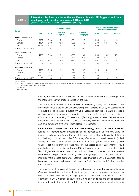Table I.7.

### Internationalization statistics of the top 100 non-financial MNEs, global and from developing and transition economies, 2016 and 2017 (Billions of dollars, thousands of employees and per cent)

|                                     |                   | <b>Global top 100 MNEs</b> |                         |                   |                         |                   | <b>Top 100 MNEs from developing</b><br>and transition economies |            |  |
|-------------------------------------|-------------------|----------------------------|-------------------------|-------------------|-------------------------|-------------------|-----------------------------------------------------------------|------------|--|
| <b>Variable</b>                     | 2016 <sup>a</sup> | 2017 <sup>a</sup>          | 2016-2017<br>Change (%) | 2018 <sup>b</sup> | 2017-2018<br>Change (%) | 2016 <sup>a</sup> | 2017                                                            | Change (%) |  |
| <b>Assets</b> (billions of dollars) |                   |                            |                         |                   |                         |                   |                                                                 |            |  |
| Foreign                             | 8 3 3 7           | 8996                       | 7.9                     | 9 2 3 1           | 2.8                     | 1895              | 2 1 1 9                                                         | 11.8       |  |
| Domestic                            | 4 8 9 4           | 5 5 3 8                    | 13.2                    | 6 2 6 2           | 14.8                    | 5 100             | 5613                                                            | 10.1       |  |
| Total                               | 13 231            | 14 5 34                    | 9.8                     | 15 492            | 7.2                     | 6995              | 7732                                                            | 10.5       |  |
| Foreign as share of total (%)       | 63                | 62                         | $-1.1$                  | 60                | $-2.3$                  | 27                | 27                                                              | 0.3        |  |
| <b>Sales</b> (billions of dollars)  |                   |                            |                         |                   |                         |                   |                                                                 |            |  |
| Foreign                             | 4765              | 5 200                      | 9.1                     | 5 5 8 7           | 8.1                     | 1 5 3 5           | 1897                                                            | 23.6       |  |
| Domestic                            | 2 7 3 7           | 2817                       | 2.9                     | 3790              | 35.5                    | 2066              | 2 5 3 7                                                         | 22.8       |  |
| Total                               | 7 502             | 8017                       | 6.9                     | 9 3 7 7           | 18.1                    | 3601              | 4 4 3 3                                                         | 23.1       |  |
| Foreign as share of total (%)       | 64                | 65                         | 1.3                     | 60                | $-5.3$                  | 43                | 43                                                              | 0.2        |  |
| <b>Employment</b> (thousands)       |                   |                            |                         |                   |                         |                   |                                                                 |            |  |
| Foreign                             | 9535              | 9662                       | 1.3                     | 9611              | 0.8                     | 4618              | 4 5 21                                                          | $-2.1$     |  |
| Domestic                            | 6920              | 7037                       | 1.7                     | 7876              | 13.8                    | 8622              | 8652                                                            | 0.4        |  |
| Total                               | 16 455            | 16 699                     | 1.5                     | 17 488            | 6.3                     | 13 240            | 13 174                                                          | $-0.5$     |  |
| Foreign as share of total (%)       | 58                | 58                         | $-0.1$                  | 55                | $-2.9$                  | 35                | 34                                                              | $-0.6$     |  |

*Source*:UNCTAD.

Note: Data refer to fiscal year results reported between 1 April of the base year and 31 March of the following year. Complete 2018 data for the top 100 MNEs from developing and transition economies are not yet available.

a Revised results

**b** Preliminary results

change) that were in the top 100 ranking in 2010, those that are still in the ranking (above the line) and those that dropped out (below the line).

The decline in the number of industrial MNEs in the ranking is only partly the result of the growing presence of technology and digital companies. It is also driven by the scaling-down of industrial conglomerates. Industrial MNEs disappearing from the top ranking or losing positions are often undergoing restructuring programmes to focus on their core business. Of those that left the ranking, ThyssenKrupp (Germany) – after a series of divestments – announced that it will spin off its lift business. Similarly, ABB (Switzerland) announced the sale of its power-grid division to Hitachi (Japan) in December.

Other industrial MNEs are still in the 2018 ranking, often as a result of M&As. Examples of mergers between traditional industrial companies include the new Linde Plc (United Kingdom), DowDuPont (United States) and LafargeHolcim (Switzerland). Others acquired major competitors: in 2018 Bayer Ag (Germany) purchased Monsanto (United States), and United Technologies Corp (United States) bought Rockwell Collins (United States). Post-merger moves to shed non-core businesses or to realize synergies could negatively affect the ranking in the top 100 of these companies. For example, United Technologies already announced it will split into three companies, with the aviation business remaining the largest. Similarly, DowDuPont (merged in 2017) is splitting this year into three more focused companies. LafargeHolcim (merged in 2015) has already sold its business in Indonesia and plans to sell assets in South-East Asia for \$2 billion over the next five years.

The downsizing of industrial MNEs appears to be a general trend. For example, Siemens (Germany) floated its medical equipment business to attract investors for businesses outside its core industrial engineering operations, and it separated its wind power operations. In 2018, Siemens announced that it will spin off its gas and power operations into an independent company to be listed next year. The most dramatic restructuring is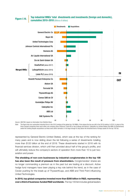## Top industrial MNEs' total divestments and investments (foreign and domestic), Figure I.16. **Figure I.16. Cumulative 2010–2018** (Billions of dollars)





*Source*: UNCTAD, based on information from Refinitiv Eikon.

*Note*: The figure lists non-automotive industrial firms in the 2010 ranking of the global top 100 MNEs. Firms above the line are still in the 2019 ranking. In 2010, in place of the three merged companies there were either one company (Dow Chemical, Linde AG) or two (Lafarge and Holcim). Caterpillar Inc (United States) and ABB Ltd (Switzerland) exited the ranking despite acquisitions as these were either domestic or not large enough to stay above the threshold level of foreign assets for the top 100 list.

represented by General Electric (United States), which was at the top of the ranking for many years and is now sliding down the list following a series of divestments totalling more than \$120 billion at the end of 2018. These divestments started in 2016 with its financial services division, which until then provided about half of the group's profits, and will ultimately reduce the company's sectors of operation from more than 10 to just two: aviation and power.

The shedding of non-core businesses by industrial conglomerates in the top 100 has also been the result of pressure from shareholders. Conglomerates' shares are no longer commanding a premium as in the past but are trading at a discount. Active hedge fund managers have been playing a key role behind the trend, as in the case of Cevian pushing for the break-up of ThyssenKrupp, and ABB and Third Point influencing United Technologies.

In 2018, top global companies invested more than \$350 billion in R&D, representing over a third of business-funded R&D worldwide. The top 100 list includes global leaders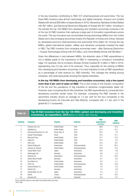in the key industries contributing to R&D: ICT, pharmaceuticals and automotive. The top three R&D investors were all from technology and digital industries: Amazon.com (United States) with almost \$29 billion of expenditures in 2018, followed by Alphabet (United States) with \$21 billion, and Samsung Electronics (Republic of Korea) with \$17 billion. Including in the sample the top 100 MNEs from developing and transition economies produces a list of the top 20 R&D investors that captures a large part of innovation expenditures across the world. The top innovators are concentrated among technology MNEs from the United States and a few emerging economies (mainly the Republic of Korea and China), followed by developed-economy pharmaceutical and automotive firms (table I.8). Among the top MNEs, global international traders, utilities and extractive companies invested the least in R&D. Top R&D investors from emerging economies were – after Samsung Electronics – Huawei Technologies (China) with \$15 billion, and China Mobile (China) with \$6 billion.2

Given the differences in size between MNEs, the absolute value of R&D expenditures is not a reliable guide to the importance of R&D in maintaining a company's competitive edge. For example, the oil company Sinopec (China) invested \$1.2 billion in R&D in 2018, representing only 0.3 per cent of its revenues. Thus, especially for the ranking of MNEs from developing and transition economies, it is more indicative to look at R&D expenditure as a percentage of total revenue (i.e. R&D intensity). This changes the ranking among industries, with pharmaceuticals showing the highest intensities.

In the top 100 MNEs from developing and transition economies, only a few spend more than 5 per cent of sales on R&D. This is due mostly to the industry composition of the list and the prevalence of big industrial or extractive conglomerates (table I.9). However, even comparing like for like industries, the R&D expenditures by companies from developing countries remain lower. For example, comparing the R&D intensity in the automotive industry shows an average of 1.2 per cent for the two companies in the developing-country list (Hyundai and Tata Motors), compared with 4.7 per cent in the global list (11 companies).

## Table I.8. Top 20 R&D investors from the top 100 MNEs (global and developing and transition economies), by expenditure, 2018 (Billions of dollars, R&D intensity)

| <b>Ranking</b> | <b>Company</b>                 | <b>Country</b>       | <b>Industry</b> | <b>R&amp;D</b><br>expenditures<br>(\$ billion) | <b>R&amp;D</b><br>intensity |
|----------------|--------------------------------|----------------------|-----------------|------------------------------------------------|-----------------------------|
|                | Amazon.com, Inc.               | <b>United States</b> | Tech            | 28.8                                           | 12.4                        |
| $\overline{c}$ | Alphabet Inc                   | <b>United States</b> | Tech            | 21.4                                           | 15.7                        |
| 3              | Samsung Electronics Co. Ltd.   | Korea, Rep. of       | Tech            | 16.5                                           | 7.5                         |
| 4              | Huawei Technologies            | China                | Tech            | 15.3                                           | 14.1                        |
| 5              | Microsoft Corp                 | <b>United States</b> | Tech            | 14.7                                           | 13.3                        |
| 6              | Apple Inc                      | <b>United States</b> | Tech            | 14.2                                           | 5.4                         |
| 7              | Intel Corp                     | <b>United States</b> | <b>Tech</b>     | 13.5                                           | 19.1                        |
| 8              | Roche Holding AG               | Switzerland          | Pharmaceuticals | 12.3                                           | 20.3                        |
| 9              | Johnson & Johnson              | <b>United States</b> | Pharmaceuticals | 10.8                                           | 13.2                        |
| 10             | Toyota Motor Corp <sup>a</sup> | Japan                | Automotive      | 10.0                                           | 3.6                         |
| 11             | Volkswagen AG                  | Germany              | Automotive      | 9.6                                            | 3.4                         |
| 12             | Novartis AG                    | Switzerland          | Pharmaceuticals | 9.1                                            | 16.5                        |
| 13             | Robert Bosch GmbH              | Germany              | Automotive      | 8.7                                            | 9.2                         |
| 14             | Ford Motor Co                  | <b>United States</b> | Automotive      | 8.2                                            | 5.1                         |
| 15             | Pfizer Inc.                    | <b>United States</b> | Pharmaceuticals | 8.0                                            | 14.9                        |
| 16             | General Motors Co              | <b>United States</b> | Automotive      | 7.8                                            | 5.3                         |
| 17             | Daimler AG                     | Germany              | Automotive      | 7.5                                            | 3.9                         |
| 18             | Honda Motor Co Ltd             | Japan                | Automotive      | 7.3                                            | 5.1                         |
| 19             | Sanofi                         | France               | Pharmaceuticals | 6.7                                            | 16.0                        |
| 20             | Siemens AG                     | Germany              | Industrial      | 6.4                                            | 6.7                         |

**Source: UNCTAD, based on information from Refinitiv Eikon and Orbis.** a 2017 data.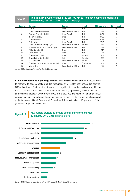## Table I.9. Top 15 R&D investors among the top 100 MNEs from developing and transition economies, 2017 (Millions of dollars, R&D intensity)

| <b>Ranking</b> | <b>Company</b>                           | <b>Country</b>           | <b>Industry</b> | <b>R&amp;D expenditures</b> | <b>R&amp;D intensity</b> |
|----------------|------------------------------------------|--------------------------|-----------------|-----------------------------|--------------------------|
|                | Huawei                                   | China                    | Tech            | 15 300                      | 14.1                     |
| 2              | United Microelectronics Corp             | Taiwan Province of China | Tech            | 424                         | 8.5                      |
| 3              | Samsung Electronics Co. Ltd.             | Korea, Rep. of           | Tech            | 16 451                      | 7.5                      |
| 4              | Tencent Holdings Ltd                     | China                    | Tech            | 3465                        | 7.3                      |
| 5              | China Mobile Ltd                         | China                    | Telecom         | 6421                        | 5.9                      |
| 6              | SK Hynix Inc                             | Korea, Rep. of           | Tech            | 2047                        | 5.6                      |
| 7              | Cheng Shin Rubber Industry Co, Ltd       | Taiwan Province of China | Industrial      | 173                         | 4.8                      |
| 8              | Advanced Semiconductor Engineering Inc   | Taiwan Province of China | Tech            | 394                         | 4.0                      |
| 9              | Midea Group Co Ltd                       | China                    | Tech            | 1 2 1 8                     | 3.1                      |
| 10             | Lenovo Group Ltd                         | China                    | Tech            | 1 2 7 4                     | 2.8                      |
| 11             | Qingdao Haier Co Ltd                     | China                    | Industrial      | 739                         | 2.7                      |
| 12             | Oil and Natural Gas Corp Ltd             | India                    | Extractives     | 1 2 3 6                     | 2.2                      |
| 13             | POU Chen Corp                            | Taiwan Province of China | Industrial      | 203                         | 2.1                      |
| 14             | China Communications Construction Co Ltd | China                    | Construction    | 1 457                       | 2.0                      |
| 15             | <b>Wistron Corp</b>                      | Taiwan Province of China | Tech            | 469                         | 1.6                      |

*Source*: UNCTAD, based on information from Refinitiv Fikon and Orbis.

FDI in R&D activities is growing. MNEs establish R&D activities abroad to locate close to markets, to access pools of skilled resources, or to cluster near knowledge centres. R&D-related greenfield investment projects are significant in number and growing. During the last five years 5,300 R&D projects were announced, representing about 6 per cent of all investment projects, and up from 4,000 in the previous five years. For pharmaceutical companies, R&D-related projects can account for as much as 17 per cent of all greenfield projects (figure I.17). Software and IT services follow, with about 15 per cent of their greenfield projects related to R&D.

## Figure I.17. **R&D-related projects as a share of total announced projects,**<br>by industry, 2010–2018 (Per cent of projects)



*Source*: UNCTAD, based on information from Financial Times Ltd fDi Markets, (www.fdimarkets.com).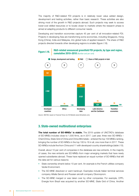The majority of R&D-related FDI projects is in relatively lower value added design, development and testing activities, rather than basic research. These activities are also driving most of the growth in R&D projects abroad. Such projects may seek to access lower-cost skilled resources or to locate closer to markets where the research phase is aimed at adapting products to different consumer needs.

Developing and transition economies capture 45 per cent of all innovation-related FDI. Projects in developing Asia are transforming some economies, including Singapore, Hong Kong (China), India and Malaysia, into global hubs of applied research. The share of R&D projects directed towards other developing regions is smaller (figure I.18).



*Source*: UNCTAD, based on Financial Times Ltd, fDi Markets (www.fdimarkets.com).

## 3. State-owned multinational enterprises

**The total number of SO-MNEs<sup>3</sup> is stable.** The 2019 update of UNCTAD's database of SO-MNEs includes close to 1,500 firms, as in 2017. Last year, three new SO-MNEs – ChemChina, State Grid of China and China Minmetals – entered the top 100 MNEs ranking, bringing the number of SO-MNEs in the top 100 to 16 in all, one more than in 2017. These SO-MNEs include five from China and 11 with developed-country shareholdings (table I.10).

Overall, about 10 per cent of companies in the database are new entrants. In the majority of cases, the new entrants are SO-MNEs from major emerging markets that have newly opened subsidiaries abroad. These have replaced an equal number of SO-MNEs that left the data set for various reasons:

- State ownership shrank below 10 per cent. An example is the French utilities company Veolia Environment.
- The SO-MNE dissolved or went bankrupt. Examples include Italian terminal services company Alitalia Servizi and Russian aircraft company Oboronprom.
- The SO-MNE merged or was taken over by other companies. For example, CPFL Energia from Brazil was acquired by another SO-MNE, State Grid of China. Another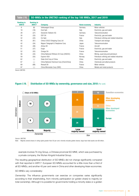## Table I.10. SO-MNEs in the UNCTAD ranking of the top 100 MNEs, 2017 and 2019

| <b>Ranking in</b><br><b>WIR19</b> | <b>Ranking in</b><br><b>WIR17</b> | <b>Company</b>                           | <b>Home economy</b> | <b>Industry</b>                           |
|-----------------------------------|-----------------------------------|------------------------------------------|---------------------|-------------------------------------------|
| 6                                 | (6)                               | Volkswagen Group                         | Germany             | Motor vehicles                            |
| 18                                | (18)                              | Enel SpA                                 | Italy               | Electricity, gas and water                |
| 28                                | (27)                              | Deutsche Telekom AG                      | Germany             | Telecommunication                         |
| 30                                | (33)                              | EDF SA                                   | France              | Electricity, gas and water                |
| 32                                | (23)                              | Eni SpA                                  | Italy               | Petroleum refining and related industries |
| 40                                | (81)                              | China COSCO Shipping Corp Ltd            | China               | Transport and storage                     |
| 42                                | (54)                              | Nippon Telegraph & Telephone Corp        | Japan               | Telecommunication                         |
| 50                                | (46)                              | Airbus SE                                | France              | Aircraft                                  |
| 51                                | (37)                              | Engie                                    | France              | Electricity, gas and water                |
| 52                                | (52)                              | Orange SA                                | France              | Telecommunication                         |
| 56                                | (44)                              | China National Offshore Oil Corp (CNOOC) | China               | Mining, quarrying and petroleum           |
| 59                                | (55)                              | Equinor ASA                              | Norway              | Petroleum refining and related industries |
| 62                                | $\left(  \right)$                 | State Grid Corp of China                 | China               | Electricity, gas and water                |
| 67                                | $\left(  \right)$                 | China National Chemical Corp (ChemChina) | China               | Chemicals and allied products             |
| 69                                | (68)                              | <b>Renault SA</b>                        | France              | Motor vehicles                            |
| 97                                | ()                                | China Minmetals Corp (CMC)               | China               | Metals and metal products                 |

*Source*: UNCTAD.

## Figure I.19. Distribution of SO-MNEs by ownership, governance and size, 2018 (Per cent)



*Source*: UNCTAD.

*Note*: Majority-owned shares in voting rights greater than 50 per cent; minority includes golden shares; large have total assets over \$5 billion.

example involves Tri-ring Group, a Chinese provincial SO-MNE, which was purchased by a private company, the Wuhan Kingold Industrial Group.

The resulting geographical distribution of SO-MNEs did not change significantly compared with that reported in *WIR17*. European SO-MNEs accounted for a little more than a third of all SO-MNEs, and another 45 per cent were in China and other developing Asian economies.

### SO-MNEs vary considerably:

*Ownership:* The influence governments can exercise on companies varies significantly according to their shareholding, from minority participation (or golden share) to majority (or total ownership). Although it is possible for governments holding a minority stake or a golden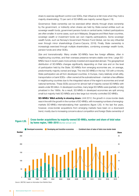share to exercise significant control over SOEs, their influence is felt more when they hold a majority shareholding; 73 per cent of SO-MNEs are majority owned (figure I.19).

*Governance*: State ownership can be exercised either directly through share ownership by the government, or indirectly when shares are held by State-owned entities such as sovereign wealth funds, government pension funds or central banks. Indirect participations are often smaller. In some cases, such as in Malaysia, Singapore and West Asian countries, sovereign wealth or investment funds can own majority participations. Some sovereign wealth funds, such as Norway's Government Pension Fund Global, can be very influential even through minor shareholdings (Cuervo-Cazurra, 2018). Finally, State ownership is increasingly exercised through multiple shareholders, combining sovereign wealth funds, pension funds and other SOEs.

*Size and transnationality*: Many smaller SO-MNEs have few foreign affiliates, often in neighbouring countries, and their overseas presence remains stable over time. Large SO-MNEs have in recent years more actively invested and expanded abroad. The geographical distribution of SO-MNEs changes significantly depending on their size and on the level of participation held by the State. SO-MNEs from emerging economies are, on average, predominantly majority owned and large. The nine SO-MNEs in the top 100 with a minority State participation are all from developed countries. In Europe, many relatively small utility, transportation or bank SOEs – often owned at the subnational level – maintain a few affiliates in neighbouring countries due to the integrated nature of the region's economies and small national territories. These SOEs account for almost half of majority-owned SO-MNEs with assets under \$5 billion. In developed countries, many large SO-MNEs were (partially or fully) privatized in the 1990s. As a result, SO-MNEs in developed economies are split among small but majority-held SO-MNEs and a few large but minority-controlled SO-MNEs.

SO-MNEs' M&A activity is slowing down. Until 2012, the growth in cross-border deals was in line with the growth in the number of SO-MNEs, with increasing numbers of emergingmarkets SO-MNEs internationalizing their operations (figure I.20). In the last five years, however, cross-border acquisitions from emerging markets have been on a downward trend, mostly due to increasing concerns about competition and foreign State ownership of

## Figure I.20. Cross-border acquisitions by majority-owned SO-MNEs, number and share of total value by home region, 1995–2018 (Number and per cent)



*Source*: UNCTAD, based on information from Refinitiv Eikon.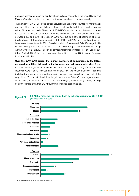domestic assets and mounting scrutiny of acquisitions, especially in the United States and Europe. (See also chapter III on investment measures related to national security.)

The number of SO-MNEs' cross-border acquisitions has never accounted for more than 2 per cent of the total number of deals, but such deals are typically larger than the average value of international deals. The value of SO-MNEs' cross-border acquisitions accounted for less than 7 per cent of the total in the last five years, down from almost 10 per cent between 2009 and 2013. The spike in 2009 was due to a general decline in all crossborder deals, but the spikes recorded in 2002, 2013 and 2017 are all explained by very large single transactions. In 2002, Swedish majority State-owned Telia AB merged with Finnish majority State-owned Sonera Corp to create a single telecommunication group worth \$6.3 billion. In 2013, Russian oil company Rosneft purchased TNK-BP Ltd for \$55 billion. And in 2017, Chinese chemical giant ChemChina purchased Swiss group Syngenta for almost \$42 billion.

Over the 2010–2018 period, the highest numbers of acquisitions by SO-MNEs occurred in utilities, followed by the hydrocarbon and mining industries. These three industries together attracted almost half of all deals (figure I.21). Other attractive industries were financial services and real estate. High-technology industries, including both hardware providers and software and IT services, accounted for 5 per cent of the acquisitions. This industry breakdown largely holds across SO-MNE home regions, except in the mining industry, where SO-MNEs from emerging markets target foreign mining companies more often than SO-MNEs from developed economies do.

SO-MNEs' cross-border acquisitions by industry, cumulative 2010–2018 **Figure I.21. SU-MNES' Cross-DOTO** 



*Source*: UNCTAD, based on information from Refinitiv Eikon.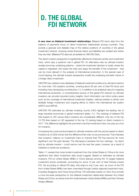# D. THE GLOBAL FDI NETWORK

A new view on bilateral investment relationships. Bilateral FDI stock data from the balance of payments focus on *direct* investment relationships among countries. They provide a granular and detailed map of the relative positions of countries in the global investment network, showing where financial claims and liabilities are created and where they are held. (Bilateral FDI data are accessible at UNCTAD Stat.)

The direct investor perspective is significantly affected by financial centres and investment hubs, which play a systemic role in global FDI. An alternative view by *ultimate investor* reveals some key underlying patterns – where the investment decision is made, where the capital is originated, who bears the risks and reaps the benefits of the investment – that can be more relevant in the analysis of international production. In the special case of *round-tripping,* the ultimate investor perspective unveils the underlying domestic nature of a foreign direct investment.

UNCTAD has created a new database of bilateral investment positions by ultimate investors for more than 100 recipient countries, covering about 95 per cent of total FDI stock and including many developing countries (box I.1). In addition to its analytical value for mapping international production, a comprehensive picture of the global FDI network by ultimate investors can provide important policy insights. Such information can inform policy areas such as the coverage of international investment treaties, national policies to attract and facilitate foreign investment and ongoing efforts to reform the international tax system (*WIR15* and *WIR16*).

UNCTAD FDI estimates by ultimate investing country (UIC) highlight the leading role of large industrial economies in global investment (table I.11). The rankings of bilateral FDI links based on UIC versus direct investors are considerably different: only two of the top 10 FDI links based on UIC appeared in the top 10 ranking based on direct investors in 2017. This difference highlights the prominent role that investment hubs now play as a tool for investors.

Comparing the current picture based on ultimate investors with the picture based on direct investors as of 2005 shows that the difference then was not as pronounced. That indicates that investors' reliance on investment hubs to channel their FDI has become far more significant over the past decade. The discrepancy between the two rankings – by direct and by ultimate investor – could narrow over the next few years, however, as a result of initiatives to tackle tax avoidance.

Table I.11 reveals that cross-border investment from the United States to China is far more significant than direct investment data would suggest. Based on estimates by ultimate investors, FDI by United States MNEs in China features among the 10 largest bilateral investment stocks worldwide, accounting for some 10 per cent of total Chinese inward FDI. Yet according to official FDI data, that share is only 3 per cent, as much of the FDI from United States MNEs has been channeled through (mainly regional) investment hubs, including Singapore and Hong Kong (China). FDI estimates based on UICs thus provide a more accurate perspective on the bilateral investment relationship between the United States and China, as well as intra-firm trade between United States MNEs and their Chinese foreign affiliates.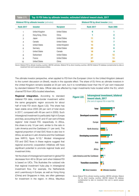|                      | <b>Bilateral FDI by direct investor (data)</b> |                                                       |                                                                               |  |
|----------------------|------------------------------------------------|-------------------------------------------------------|-------------------------------------------------------------------------------|--|
| <b>Investor</b>      | <b>Recipient</b>                               | <b>Rank 2017</b>                                      | <b>Rank 2005</b>                                                              |  |
| United Kingdom       | <b>United States</b>                           | 6                                                     |                                                                               |  |
| Hong Kong, China     | China                                          |                                                       | 2                                                                             |  |
| Japan                | <b>United States</b>                           | 11                                                    | 5                                                                             |  |
| Canada               | <b>United States</b>                           | 12                                                    |                                                                               |  |
| <b>United States</b> | United Kingdom                                 | 15                                                    | 3                                                                             |  |
| Germany              | <b>United States</b>                           | 20                                                    | 6                                                                             |  |
| <b>United States</b> | Canada                                         | 18                                                    | 4                                                                             |  |
| Switzerland          | <b>United States</b>                           | 21                                                    | 12                                                                            |  |
| France               | <b>United States</b>                           | 27                                                    | 13                                                                            |  |
| <b>United States</b> | China                                          | $30+$                                                 | $30+$                                                                         |  |
|                      |                                                | <b>Bilateral FDI by ultimate investor (estimates)</b> | Top 10 FDI links by ultimate investor, estimated bilateral inward stock, 2017 |  |

*Source*: Bilateral FDI by ultimate investing countries: UNCTAD estimates. Bilateral FDI by direct investing countries: UNCTAD bilateral FDI database (complemented by data on investment from and to special purpose entities).

The ultimate investor perspective, when applied to FDI from the European Union to the United Kingdom (relevant to the current discussion on *Brexit*), results in the opposite effect. The share of EU firms as ultimate investors in the United Kingdom remains sizeable at 33 per cent, but it is nonetheless lower than the 47 per cent measured by standard bilateral FDI data. Official data are affected by major investments hubs located within the EU, which channel FDI from UICs located elsewhere.

Regional integration. According to standard bilateral FDI data, cross-border investment within the same geographic region accounts for about half of total FDI stock (figure I.22). This share has been stable since 2005 (46 per cent of total stock in 2017, compared with 49 per cent in 2005). Such intraregional investment is particularly high in Europe and Asia, accounting for 81 and 47 per cent of these regions' total inward FDI, respectively. In Africa, this share is only 10 per cent, similar to the ratio in Latin America and the Caribbean (11 per cent). The regional proportion of total GVC flows is also low in Africa, as well as in Latin America and the Caribbean (see *WIR13*, figure IV.10).4 Modest intraregional FDI and GVC flows in these regions suggest that regional economic cooperation initiatives still have significant potential to promote regional trade and investment links.

Yet the share of intraregional investment in global FDI decreases from 46 to 38 per cent when bilateral FDI is based on UICs. This illustrates the outsized role that regional investment hubs play in intraregional investment flow. For example, the Netherlands and Luxembourg in Europe, as well as Hong Kong (China) and Singapore in Asia, are often gateways for investment in the region. In Africa, Mauritius

## Figure I.22.

## Intraregional investment, bilateral inward stock, 2017

(Per cent of regional FDI in total FDI)



*Source*: Bilateral FDI by ultimate investing countries: UNCTAD estimates. Bilateral FDI by direct investing countries: UNCTAD bilateral FDI database (complemented by data on investment from and to special purpose entities).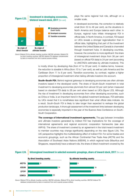## Investment in developing economies, **Figure I.23. bilateral inward stock, 2017** (Per cent)



*Source*: Bilateral FDI by ultimate investing countries: UNCTAD estimates. Bilateral FDI by direct investing countries: UNCTAD bilateral FDI database (complemented by data on investment from and to special purpose entities).

plays the same regional hub role, although on a smaller scale.

In developed economies, the correction is relatively small (from 53 to 46 per cent), as the situations in North America and Europe balance each other. In Europe, regional hubs inflate intraregional FDI in official data. In North America, in contrast, FDI based on UICs reveals a stronger regionalization than in official data, highlighting that part of the investment between the United States and Canada is channeled through investment hubs. In developing countries, however, the correction is more significant: the share of intraregional investment drops from 36 per cent (based on official FDI data) to 24 per cent (according to UNCTAD's estimates by ultimate investors). This

is mostly driven by developing Asia (from 47 to 33 per cent). In relative terms, however, the reduction is sizeable in Africa (from 10 to 7 per cent), as well as Latin America and the Caribbean (from 11 to 8 per cent). Transition economies, by contrast, register a higher proportion of intraregional investment when taking ultimate investors into account.

**South–South FDI.** Behind regional gateways to developing economies are often ultimate investors based in the developed world. The share of South–South investment in total investment to developing economies plummets from almost 50 per cent (when measured based on standard FDI data) to 28 per cent when based on UICs (figure I.23). Although the rise of investment in developing economies from other developing economies, such as China or India, is an important trend in the global investment landscape, FDI estimates by UICs reveal that it is nonetheless less significant than what official data indicate. As a result, South–South FDI is likely to take longer than expected to reshape the global production landscape. A thorough assessment of the investment links between developing economies is especially important in the year of the Buenos Aires Conference on South– South Cooperation.

The coverage of international investment agreements. The gap between immediate and ultimate investors generated by indirect FDI has implications for the coverage of international agreements and regional economic cooperation frameworks (see also *WIR16)*. The share of investment covered by an agreement in the total inward investment to member countries may change significantly depending on the view (figure I.24). The UIC perspective highlights the *multilateralizing effect* of indirect FDI. For some treaties and economic groupings, such as the African Continental Free Trade Area (AfCTA) and the Association of Southeast Asian Nations (ASEAN), in which regional hubs (Mauritius and Singapore, respectively) have a relevant role, the share of direct investment covered by the





*Source*: Bilateral FDI by ultimate investing countries: UNCTAD estimates. Bilateral FDI by direct investing countries: UNCTAD bilateral FDI database (complemented by data on investment from and to special purpose entities).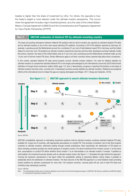treaties is higher than the share of investment by UICs. For others, the opposite is true: the treaty's weight is more relevant under the ultimate investor perspective. This occurs when the agreement includes major industrial partners, as is the case of the United States– Mexico–Canada Agreement (USMCA) and the Comprehensive and Progressive Agreement for Trans-Pacific Partnership (CPTPP).

## Box I.1. | UNCTAD estimates of bilateral FDI by ultimate investing country

The large and growing divergence between bilateral FDI positions held by direct investors (as reported by standard bilateral FDI data) and by ultimate investors is one of the main issues affecting FDI statistics. According to 2016 FDI statistics reported by Germany, for example, Luxembourg and the Netherlands account for a combined 41 per cent of total bilateral inward FDI in Germany, and the United States for only 8 per cent. FDI positions by ultimate investors (reported by Germany and few other developed countries) radically modify this picture, however: the share of the United States rises to 21 per cent, and Luxembourg and the Netherlands combined make up only 14 per cent of German inward FDI stock. Similar differences apply to all other countries whose reported data allow direct comparison.

In this context, standard bilateral FDI data cannot properly uncover ultimate investor relations. The need for bilateral statistics by ultimate investors to complement standard bilateral FDI is now largely acknowledged by the international community (OECD Benchmark Definition of Foreign Direct Investment, edition 2008, page 110, item i). Nevertheless, progress in reporting FDI positions on the basis of ultimate investors has been slow; currently only 14 developed countries provide statistics by ultimate investors. Statistical and analytical efforts at the international level to bridge this gap are ongoing (Damgaard and Elkjaer, 2017; Borga and Caliandro, 2018).



*Source*: UNCTAD.

UNCTAD's probabilistic approach to estimating investment positions held by ultimate investors combines standard bilateral FDI data, available for a large set of countries, with appropriate assumptions on conduit FDI. This provides a transition rule to link final recipient countries to ultimate investors, effectively *looking through* conduit jurisdictions. More specifically, the distribution of FDI based on direct investing countries provides the overall exposure of recipient country *X* to direct investment from investor country *Y*; at the same time, assumptions on conduit FDI define whether direct investor *Y* is an intermediate or an ultimate investor. If investor *Y* qualifies as intermediate, the investment process iterates until an ultimate investor arises. Box figure I.1.1 illustrates the logic behind this approach. Framing the dynamics represented in the figure within the probabilistic setting of *absorbing Markov chains* makes it possible to analytically derive the distribution of ultimate investors. The final outcome of the UNCTAD approach is a novel bilateral matrix providing inward positions by ultimate counterparts for more than 100 recipient countries, covering about 95 per cent of total FDI stock and including many developing countries.

### *Source:* UNCTAD.

*Note:* Full methodological details and an empirical validation can be found in the technical background paper on UNCTAD's UIC data set, published as UNCTAD Insights in *Transnational Corporations* (Casella, 2019).